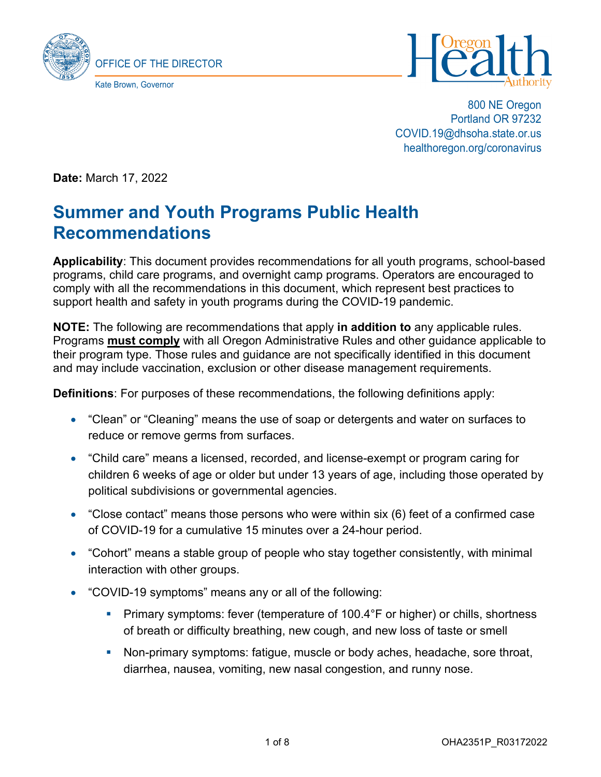



800 NE Oregon Portland OR 97232 COVID.19@dhsoha.state.or.us healthoregon.org/coronavirus

**Date:** March 17, 2022

# **Summer and Youth Programs Public Health Recommendations**

**Applicability**: This document provides recommendations for all youth programs, school-based programs, child care programs, and overnight camp programs. Operators are encouraged to comply with all the recommendations in this document, which represent best practices to support health and safety in youth programs during the COVID-19 pandemic.

**NOTE:** The following are recommendations that apply **in addition to** any applicable rules. Programs **must comply** with all Oregon Administrative Rules and other guidance applicable to their program type. Those rules and guidance are not specifically identified in this document and may include vaccination, exclusion or other disease management requirements.

**Definitions**: For purposes of these recommendations, the following definitions apply:

- "Clean" or "Cleaning" means the use of soap or detergents and water on surfaces to reduce or remove germs from surfaces.
- "Child care" means a licensed, recorded, and license-exempt or program caring for children 6 weeks of age or older but under 13 years of age, including those operated by political subdivisions or governmental agencies.
- "Close contact" means those persons who were within six (6) feet of a confirmed case of COVID-19 for a cumulative 15 minutes over a 24-hour period.
- "Cohort" means a stable group of people who stay together consistently, with minimal interaction with other groups.
- "COVID-19 symptoms" means any or all of the following:
	- **Primary symptoms: fever (temperature of 100.4°F or higher) or chills, shortness** of breath or difficulty breathing, new cough, and new loss of taste or smell
	- Non-primary symptoms: fatigue, muscle or body aches, headache, sore throat, diarrhea, nausea, vomiting, new nasal congestion, and runny nose.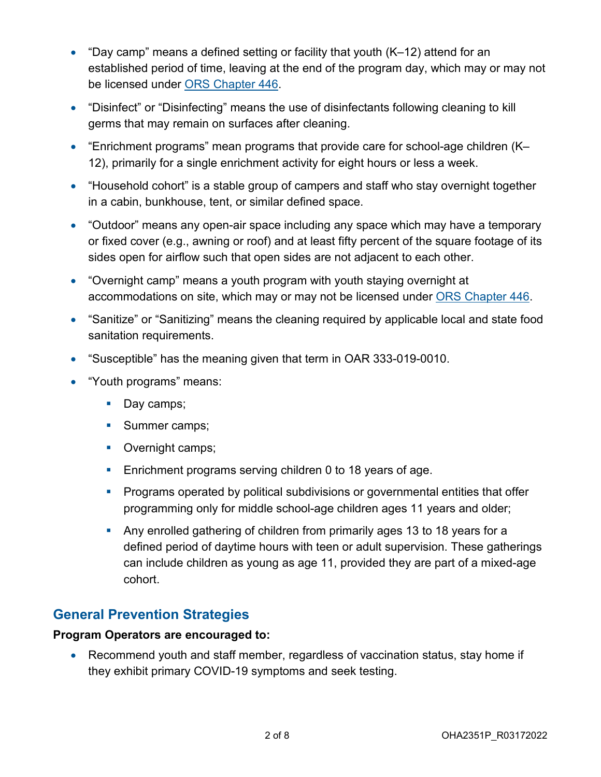- "Day camp" means a defined setting or facility that youth (K–12) attend for an established period of time, leaving at the end of the program day, which may or may not be licensed under [ORS Chapter 446.](https://www.oregonlegislature.gov/bills_laws/ors/ors446.html)
- "Disinfect" or "Disinfecting" means the use of disinfectants following cleaning to kill germs that may remain on surfaces after cleaning.
- "Enrichment programs" mean programs that provide care for school-age children (K– 12), primarily for a single enrichment activity for eight hours or less a week.
- "Household cohort" is a stable group of campers and staff who stay overnight together in a cabin, bunkhouse, tent, or similar defined space.
- "Outdoor" means any open-air space including any space which may have a temporary or fixed cover (e.g., awning or roof) and at least fifty percent of the square footage of its sides open for airflow such that open sides are not adjacent to each other.
- "Overnight camp" means a youth program with youth staying overnight at accommodations on site, which may or may not be licensed under [ORS Chapter 446.](https://www.oregonlegislature.gov/bills_laws/ors/ors446.html)
- "Sanitize" or "Sanitizing" means the cleaning required by applicable local and state food sanitation requirements.
- "Susceptible" has the meaning given that term in OAR 333-019-0010.
- "Youth programs" means:
	- Day camps;
	- **Summer camps;**
	- **Overnight camps;**
	- **Enrichment programs serving children 0 to 18 years of age.**
	- **Programs operated by political subdivisions or governmental entities that offer** programming only for middle school-age children ages 11 years and older;
	- Any enrolled gathering of children from primarily ages 13 to 18 years for a defined period of daytime hours with teen or adult supervision. These gatherings can include children as young as age 11, provided they are part of a mixed-age cohort.

### **General Prevention Strategies**

#### **Program Operators are encouraged to:**

• Recommend youth and staff member, regardless of vaccination status, stay home if they exhibit primary COVID-19 symptoms and seek testing.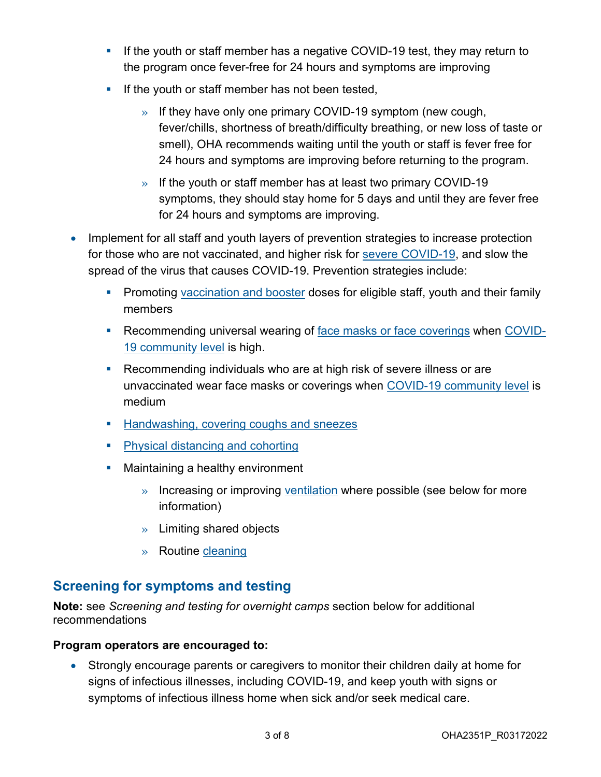- If the youth or staff member has a negative COVID-19 test, they may return to the program once fever-free for 24 hours and symptoms are improving
- $\blacksquare$  If the youth or staff member has not been tested,
	- » If they have only one primary COVID-19 symptom (new cough, fever/chills, shortness of breath/difficulty breathing, or new loss of taste or smell), OHA recommends waiting until the youth or staff is fever free for 24 hours and symptoms are improving before returning to the program.
	- » If the youth or staff member has at least two primary COVID-19 symptoms, they should stay home for 5 days and until they are fever free for 24 hours and symptoms are improving.
- Implement for all staff and youth layers of prevention strategies to increase protection for those who are not vaccinated, and higher risk for [severe COVID-19,](https://www.cdc.gov/coronavirus/2019-ncov/need-extra-precautions/index.html) and slow the spread of the virus that causes COVID-19. Prevention strategies include:
	- **Promoting [vaccination and booster](https://covidvaccine.oregon.gov/) doses for eligible staff, youth and their family** members
	- Recommending universal wearing of [face masks or face coverings](https://govstatus.egov.com/or-oha-face-coverings) when [COVID-](https://www.cdc.gov/coronavirus/2019-ncov/your-health/covid-by-county.html)[19 community level](https://www.cdc.gov/coronavirus/2019-ncov/your-health/covid-by-county.html) is high.
	- **Recommending individuals who are at high risk of severe illness or are** unvaccinated wear face masks or coverings when [COVID-19 community level](https://www.cdc.gov/coronavirus/2019-ncov/your-health/covid-by-county.html) is medium
	- **[Handwashing, covering coughs and sneezes](https://www.cdc.gov/coronavirus/2019-ncov/prevent-getting-sick/prevention.html)**
	- **[Physical distancing and cohorting](https://www.cdc.gov/coronavirus/2019-ncov/community/schools-childcare/child-care-guidance.html#cohorting)**
	- **Maintaining a healthy environment** 
		- » Increasing or improving [ventilation](https://www.cdc.gov/coronavirus/2019-ncov/community/schools-childcare/ventilation.html) where possible (see below for more information)
		- » Limiting shared objects
		- » Routine [cleaning](https://www.cdc.gov/coronavirus/2019-ncov/community/disinfecting-building-facility.html)

# **Screening for symptoms and testing**

**Note:** see *Screening and testing for overnight camps* section below for additional recommendations

### **Program operators are encouraged to:**

• Strongly encourage parents or caregivers to monitor their children daily at home for signs of infectious illnesses, including COVID-19, and keep youth with signs or symptoms of infectious illness home when sick and/or seek medical care.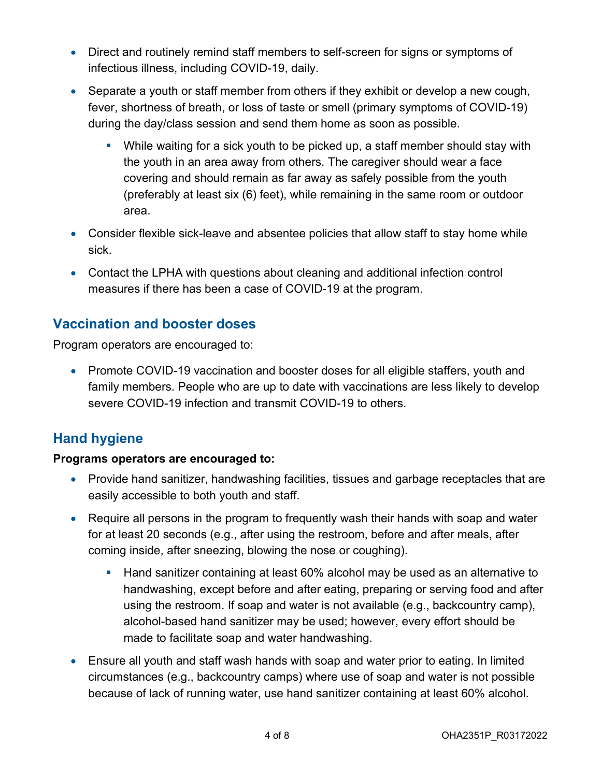- Direct and routinely remind staff members to self-screen for signs or symptoms of infectious illness, including COVID-19, daily.
- Separate a youth or staff member from others if they exhibit or develop a new cough, fever, shortness of breath, or loss of taste or smell (primary symptoms of COVID-19) during the day/class session and send them home as soon as possible.
	- While waiting for a sick youth to be picked up, a staff member should stay with the youth in an area away from others. The caregiver should wear a face covering and should remain as far away as safely possible from the youth (preferably at least six (6) feet), while remaining in the same room or outdoor area.
- Consider flexible sick-leave and absentee policies that allow staff to stay home while sick.
- Contact the LPHA with questions about cleaning and additional infection control measures if there has been a case of COVID-19 at the program.

# **Vaccination and booster doses**

Program operators are encouraged to:

• Promote COVID-19 vaccination and booster doses for all eligible staffers, youth and family members. People who are up to date with vaccinations are less likely to develop severe COVID-19 infection and transmit COVID-19 to others.

# **Hand hygiene**

### **Programs operators are encouraged to:**

- Provide hand sanitizer, handwashing facilities, tissues and garbage receptacles that are easily accessible to both youth and staff.
- Require all persons in the program to frequently wash their hands with soap and water for at least 20 seconds (e.g., after using the restroom, before and after meals, after coming inside, after sneezing, blowing the nose or coughing).
	- **Hand sanitizer containing at least 60% alcohol may be used as an alternative to** handwashing, except before and after eating, preparing or serving food and after using the restroom. If soap and water is not available (e.g., backcountry camp), alcohol-based hand sanitizer may be used; however, every effort should be made to facilitate soap and water handwashing.
- Ensure all youth and staff wash hands with soap and water prior to eating. In limited circumstances (e.g., backcountry camps) where use of soap and water is not possible because of lack of running water, use hand sanitizer containing at least 60% alcohol.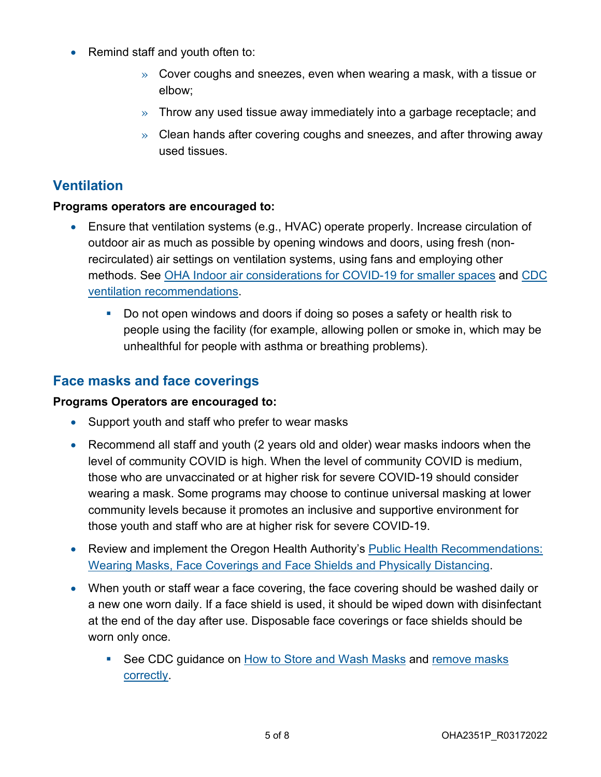- Remind staff and youth often to:
	- $\gg$  Cover coughs and sneezes, even when wearing a mask, with a tissue or elbow;
	- » Throw any used tissue away immediately into a garbage receptacle; and
	- $\gg$  Clean hands after covering coughs and sneezes, and after throwing away used tissues.

# **Ventilation**

### **Programs operators are encouraged to:**

- Ensure that ventilation systems (e.g., HVAC) operate properly. Increase circulation of outdoor air as much as possible by opening windows and doors, using fresh (nonrecirculated) air settings on ventilation systems, using fans and employing other methods. See [OHA Indoor air considerations for COVID-19 for smaller spaces](https://sharedsystems.dhsoha.state.or.us/DHSForms/Served/le3725_R.pdf) and [CDC](https://www.cdc.gov/coronavirus/2019-ncov/community/ventilation.html)  [ventilation recommendations.](https://www.cdc.gov/coronavirus/2019-ncov/community/ventilation.html)
	- Do not open windows and doors if doing so poses a safety or health risk to people using the facility (for example, allowing pollen or smoke in, which may be unhealthful for people with asthma or breathing problems).

## **Face masks and face coverings**

### **Programs Operators are encouraged to:**

- Support youth and staff who prefer to wear masks
- Recommend all staff and youth (2 years old and older) wear masks indoors when the level of community COVID is high. When the level of community COVID is medium, those who are unvaccinated or at higher risk for severe COVID-19 should consider wearing a mask. Some programs may choose to continue universal masking at lower community levels because it promotes an inclusive and supportive environment for those youth and staff who are at higher risk for severe COVID-19.
- Review and implement the Oregon Health Authority's Public Health Recommendations: [Wearing Masks, Face Coverings and Face Shields and Physically Distancing.](https://sharedsystems.dhsoha.state.or.us/DHSForms/Served/le2288K_R.pdf)
- When youth or staff wear a face covering, the face covering should be washed daily or a new one worn daily. If a face shield is used, it should be wiped down with disinfectant at the end of the day after use. Disposable face coverings or face shields should be worn only once.
	- See CDC quidance on [How to Store and Wash Masks](https://www.cdc.gov/coronavirus/2019-ncov/prevent-getting-sick/how-to-wash-cloth-face-coverings.html) and remove masks [correctly.](https://www.cdc.gov/coronavirus/2019-ncov/prevent-getting-sick/how-to-wear-cloth-face-coverings.html)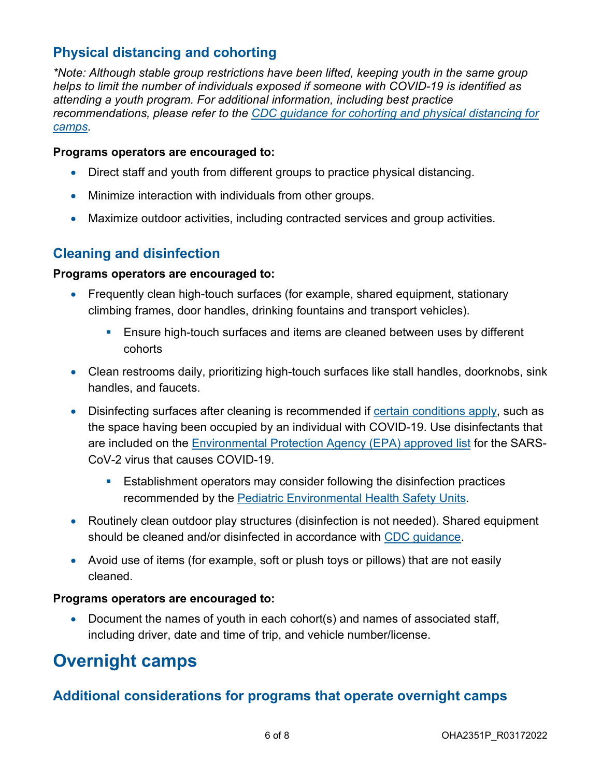# **Physical distancing and cohorting**

*\*Note: Although stable group restrictions have been lifted, keeping youth in the same group helps to limit the number of individuals exposed if someone with COVID-19 is identified as attending a youth program. For additional information, including best practice recommendations, please refer to the [CDC guidance for cohorting and physical distancing for](https://www.cdc.gov/coronavirus/2019-ncov/community/schools-childcare/summer-camps.html#anchor_1621975843071)  [camps.](https://www.cdc.gov/coronavirus/2019-ncov/community/schools-childcare/summer-camps.html#anchor_1621975843071)* 

#### **Programs operators are encouraged to:**

- Direct staff and youth from different groups to practice physical distancing.
- Minimize interaction with individuals from other groups.
- Maximize outdoor activities, including contracted services and group activities.

### **Cleaning and disinfection**

### **Programs operators are encouraged to:**

- Frequently clean high-touch surfaces (for example, shared equipment, stationary climbing frames, door handles, drinking fountains and transport vehicles).
	- **Ensure high-touch surfaces and items are cleaned between uses by different** cohorts
- Clean restrooms daily, prioritizing high-touch surfaces like stall handles, doorknobs, sink handles, and faucets.
- Disinfecting surfaces after cleaning is recommended if [certain conditions apply,](https://www.cdc.gov/coronavirus/2019-ncov/community/disinfecting-building-facility.html#anchor_1617548426741) such as the space having been occupied by an individual with COVID-19. Use disinfectants that are included on the [Environmental Protection Agency \(EPA\) approved list](https://www.epa.gov/pesticide-registration/list-n-disinfectants-use-against-sars-cov-2) for the SARS-CoV-2 virus that causes COVID-19.
	- Establishment operators may consider following the disinfection practices recommended by the [Pediatric Environmental Health Safety Units.](https://www.pehsu.net/Safer_Disinfectants.html)
- Routinely clean outdoor play structures (disinfection is not needed). Shared equipment should be cleaned and/or disinfected in accordance with [CDC guidance.](https://www.cdc.gov/coronavirus/2019-ncov/community/clean-disinfect/index.html)
- Avoid use of items (for example, soft or plush toys or pillows) that are not easily cleaned.

#### **Programs operators are encouraged to:**

• Document the names of youth in each cohort(s) and names of associated staff, including driver, date and time of trip, and vehicle number/license.

# **Overnight camps**

# **Additional considerations for programs that operate overnight camps**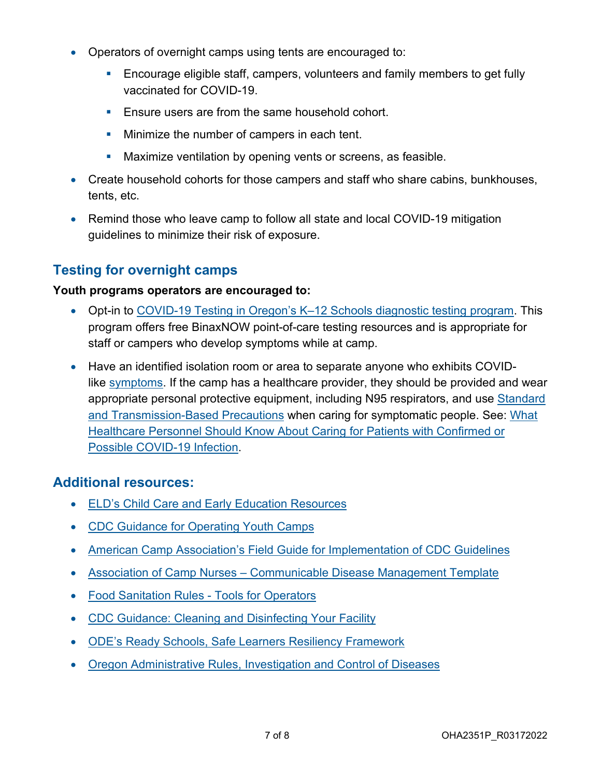- Operators of overnight camps using tents are encouraged to:
	- Encourage eligible staff, campers, volunteers and family members to get fully vaccinated for COVID-19.
	- **Ensure users are from the same household cohort.**
	- **Minimize the number of campers in each tent.**
	- **Maximize ventilation by opening vents or screens, as feasible.**
- Create household cohorts for those campers and staff who share cabins, bunkhouses, tents, etc.
- Remind those who leave camp to follow all state and local COVID-19 mitigation guidelines to minimize their risk of exposure.

# **Testing for overnight camps**

### **Youth programs operators are encouraged to:**

- Opt-in to COVID-19 Testing in Oregon's K-12 Schools diagnostic testing program. This program offers free BinaxNOW point-of-care testing resources and is appropriate for staff or campers who develop symptoms while at camp.
- Have an identified isolation room or area to separate anyone who exhibits COVIDlike [symptoms.](https://www.cdc.gov/coronavirus/2019-ncov/symptoms-testing/symptoms.html) If the camp has a healthcare provider, they should be provided and wear appropriate personal protective equipment, including N95 respirators, and use Standard [and Transmission-Based Precautions](https://www.cdc.gov/coronavirus/2019-ncov/hcp/infection-control-recommendations.html) when caring for symptomatic people. See: What [Healthcare Personnel Should Know About Caring for Patients with Confirmed or](https://www.cdc.gov/coronavirus/2019-nCoV/hcp/index.html)  [Possible COVID-19 Infection.](https://www.cdc.gov/coronavirus/2019-nCoV/hcp/index.html)

### **Additional resources:**

- **[ELD's Child Care and Early Education Resources](https://oregonearlylearning.com/COVID-19-Resources/For-Providers)**
- [CDC Guidance for Operating Youth Camps](https://www.cdc.gov/coronavirus/2019-ncov/community/schools-childcare/summer-camps.html)
- [American Camp Association's Field Guide for Implementation of CDC Guidelines](https://www.acacamps.org/resource-library/coronavirus/camp-business/camp-operations-guide-summer-2020)
- [Association of Camp Nurses Communicable Disease Management Template](https://campnurse.org/2020/04/17/template-communicable-disease-plan/)
- [Food Sanitation Rules Tools for Operators](https://www.oregon.gov/oha/ph/healthyenvironments/foodsafety/pages/foodcode.aspx)
- [CDC Guidance: Cleaning and Disinfecting Your Facility](https://www.cdc.gov/coronavirus/2019-ncov/community/disinfecting-building-facility.html#anchor_1617548426741)
- ODE's [Ready Schools, Safe Learners Resiliency Framework](https://www.oregon.gov/ode/students-and-family/healthsafety/Documents/Effective%20March%2012th%20Resiliency%20Framework%20for%20the%202021-22%20School%20Year.pdf)
- [Oregon Administrative Rules, Investigation and Control of Diseases](https://secure.sos.state.or.us/oard/displayDivisionRules.action?selectedDivision=1234)